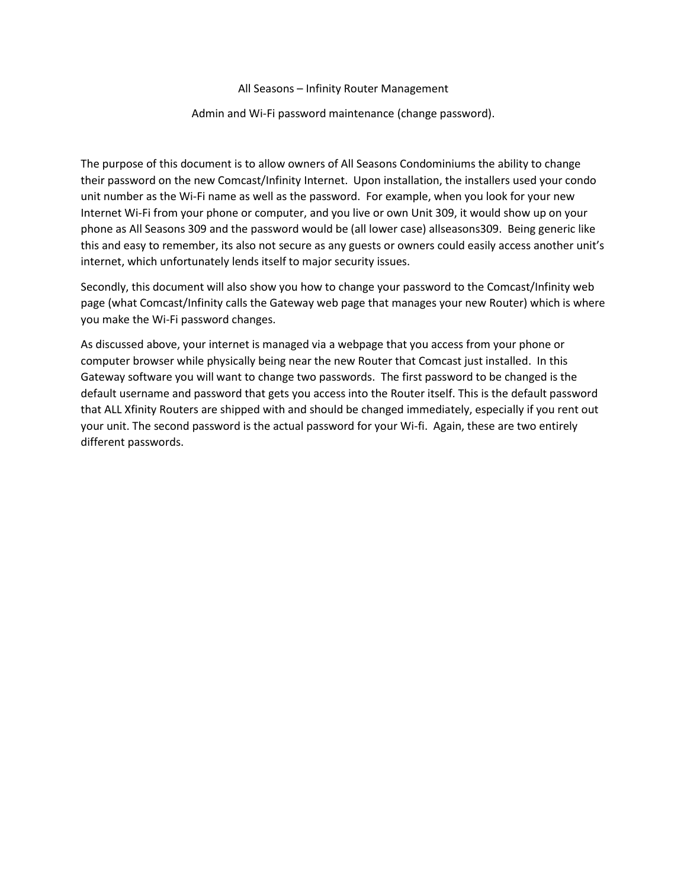All Seasons – Infinity Router Management

## Admin and Wi-Fi password maintenance (change password).

The purpose of this document is to allow owners of All Seasons Condominiums the ability to change their password on the new Comcast/Infinity Internet. Upon installation, the installers used your condo unit number as the Wi-Fi name as well as the password. For example, when you look for your new Internet Wi-Fi from your phone or computer, and you live or own Unit 309, it would show up on your phone as All Seasons 309 and the password would be (all lower case) allseasons309. Being generic like this and easy to remember, its also not secure as any guests or owners could easily access another unit's internet, which unfortunately lends itself to major security issues.

Secondly, this document will also show you how to change your password to the Comcast/Infinity web page (what Comcast/Infinity calls the Gateway web page that manages your new Router) which is where you make the Wi-Fi password changes.

As discussed above, your internet is managed via a webpage that you access from your phone or computer browser while physically being near the new Router that Comcast just installed. In this Gateway software you will want to change two passwords. The first password to be changed is the default username and password that gets you access into the Router itself. This is the default password that ALL Xfinity Routers are shipped with and should be changed immediately, especially if you rent out your unit. The second password is the actual password for your Wi-fi. Again, these are two entirely different passwords.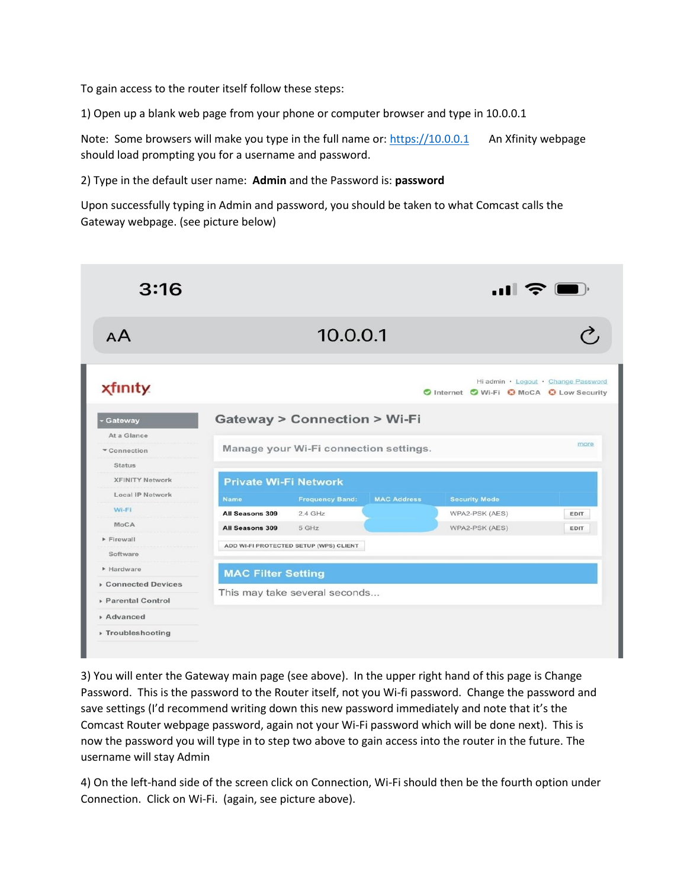To gain access to the router itself follow these steps:

1) Open up a blank web page from your phone or computer browser and type in 10.0.0.1

Note: Some browsers will make you type in the full name or: [https://10.0.0.1](https://10.0.0.1/) An Xfinity webpage should load prompting you for a username and password.

2) Type in the default user name: **Admin** and the Password is: **password**

Upon successfully typing in Admin and password, you should be taken to what Comcast calls the Gateway webpage. (see picture below)

| 3:16                           | 승                            |                                           |                    |                                          |                                     |
|--------------------------------|------------------------------|-------------------------------------------|--------------------|------------------------------------------|-------------------------------------|
| AA                             |                              | 10.0.0.1                                  |                    |                                          |                                     |
| <b>xfinity</b>                 |                              |                                           |                    | O Internet O Wi-Fi O MoCA O Low Security | Hi admin · Logout · Change Password |
| Gateway                        |                              | <b>Gateway &gt; Connection &gt; Wi-Fi</b> |                    |                                          |                                     |
| At a Glance                    |                              |                                           |                    |                                          |                                     |
| Connection                     |                              | Manage your Wi-Fi connection settings.    |                    |                                          | more                                |
| <b>Status</b>                  |                              |                                           |                    |                                          |                                     |
| <b>XFINITY Network</b>         | <b>Private Wi-Fi Network</b> |                                           |                    |                                          |                                     |
| <b>Local IP Network</b>        | <b>Name</b>                  | <b>Frequency Band:</b>                    | <b>MAC Address</b> | <b>Security Mode</b>                     |                                     |
| Wi-Fi                          | All Seasons 309              | $2.4$ GHz                                 |                    | WPA2-PSK (AES)                           | <b>EDIT</b>                         |
| MoCA                           | All Seasons 309              | 5 GHz                                     |                    | WPA2-PSK (AES)                           | <b>EDIT</b>                         |
| Firewall<br>Software           |                              | ADD WI-FI PROTECTED SETUP (WPS) CLIENT    |                    |                                          |                                     |
| Hardware                       |                              |                                           |                    |                                          |                                     |
| <b>Connected Devices</b>       | <b>MAC Filter Setting</b>    |                                           |                    |                                          |                                     |
|                                |                              | This may take several seconds             |                    |                                          |                                     |
|                                |                              |                                           |                    |                                          |                                     |
| ▶ Parental Control<br>Advanced |                              |                                           |                    |                                          |                                     |

3) You will enter the Gateway main page (see above). In the upper right hand of this page is Change Password. This is the password to the Router itself, not you Wi-fi password. Change the password and save settings (I'd recommend writing down this new password immediately and note that it's the Comcast Router webpage password, again not your Wi-Fi password which will be done next). This is now the password you will type in to step two above to gain access into the router in the future. The username will stay Admin

4) On the left-hand side of the screen click on Connection, Wi-Fi should then be the fourth option under Connection. Click on Wi-Fi. (again, see picture above).